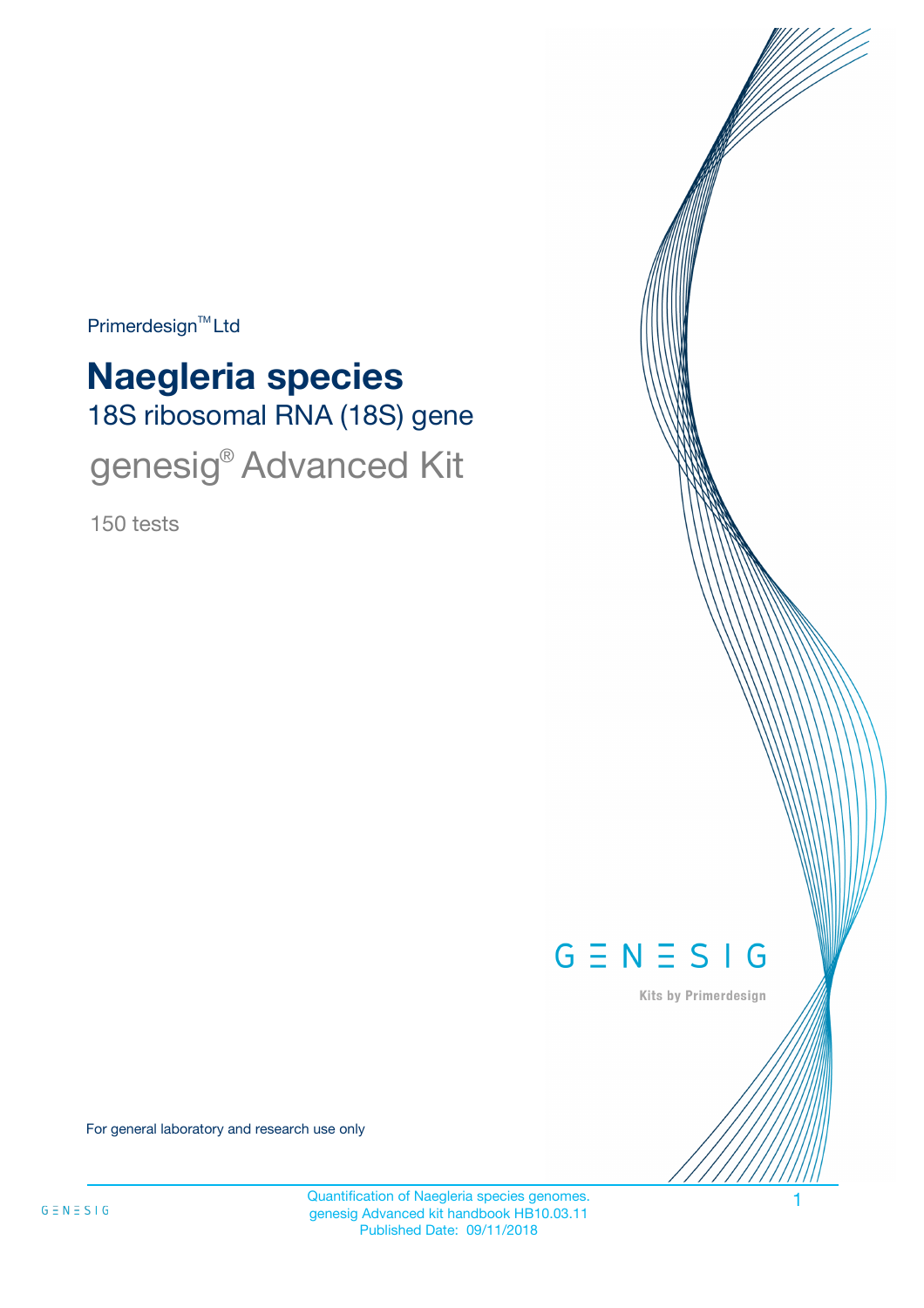$Primerdesign^{\text{TM}}$ Ltd

# 18S ribosomal RNA (18S) gene **Naegleria species** genesig® Advanced Kit

150 tests



Kits by Primerdesign

For general laboratory and research use only

Quantification of Naegleria species genomes. genesig Advanced kit handbook HB10.03.11 Published Date: 09/11/2018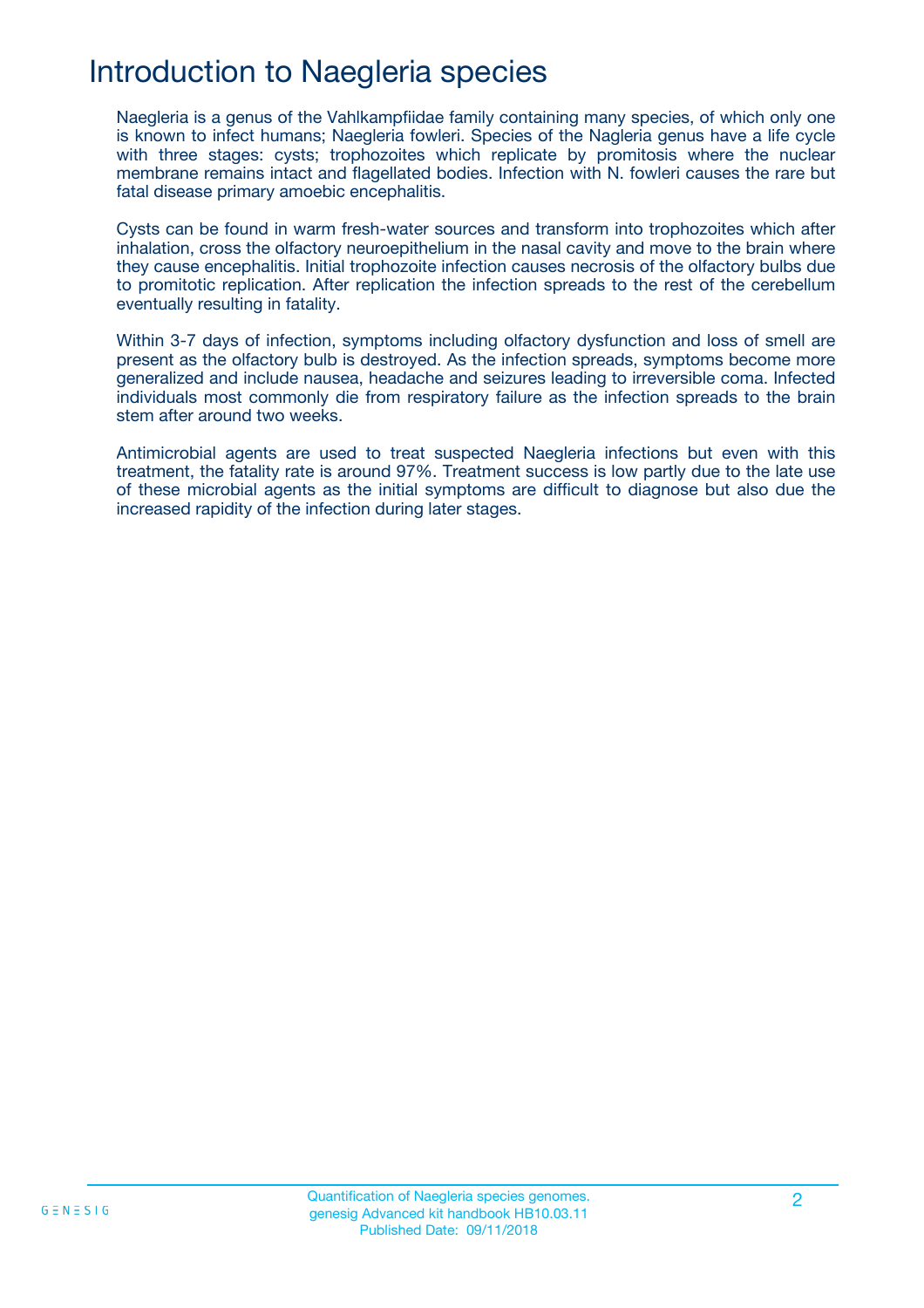## Introduction to Naegleria species

Naegleria is a genus of the Vahlkampfiidae family containing many species, of which only one is known to infect humans; Naegleria fowleri. Species of the Nagleria genus have a life cycle with three stages: cysts; trophozoites which replicate by promitosis where the nuclear membrane remains intact and flagellated bodies. Infection with N. fowleri causes the rare but fatal disease primary amoebic encephalitis.

Cysts can be found in warm fresh-water sources and transform into trophozoites which after inhalation, cross the olfactory neuroepithelium in the nasal cavity and move to the brain where they cause encephalitis. Initial trophozoite infection causes necrosis of the olfactory bulbs due to promitotic replication. After replication the infection spreads to the rest of the cerebellum eventually resulting in fatality.

Within 3-7 days of infection, symptoms including olfactory dysfunction and loss of smell are present as the olfactory bulb is destroyed. As the infection spreads, symptoms become more generalized and include nausea, headache and seizures leading to irreversible coma. Infected individuals most commonly die from respiratory failure as the infection spreads to the brain stem after around two weeks.

Antimicrobial agents are used to treat suspected Naegleria infections but even with this treatment, the fatality rate is around 97%. Treatment success is low partly due to the late use of these microbial agents as the initial symptoms are difficult to diagnose but also due the increased rapidity of the infection during later stages.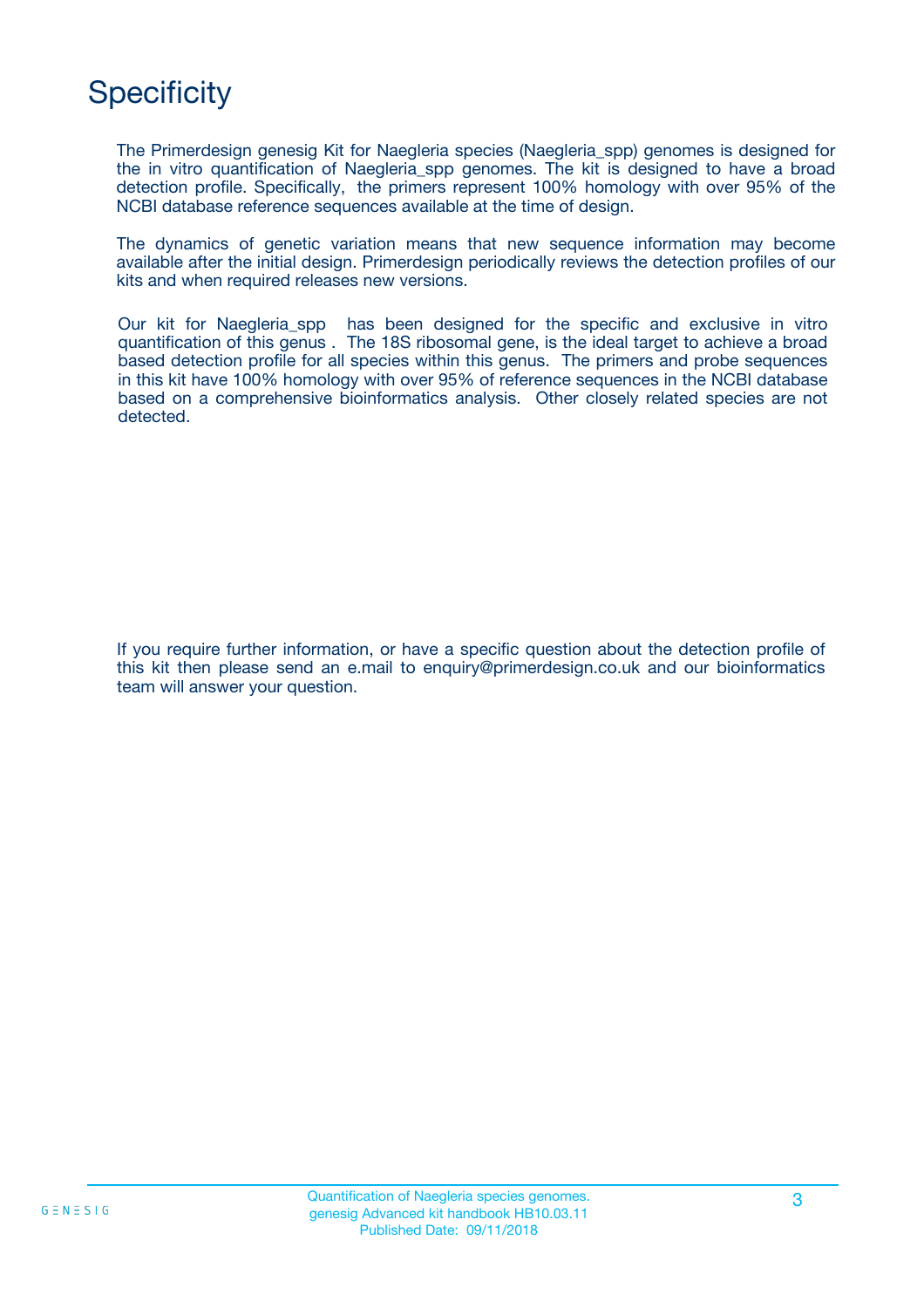## **Specificity**

The Primerdesign genesig Kit for Naegleria species (Naegleria\_spp) genomes is designed for the in vitro quantification of Naegleria\_spp genomes. The kit is designed to have a broad detection profile. Specifically, the primers represent 100% homology with over 95% of the NCBI database reference sequences available at the time of design.

The dynamics of genetic variation means that new sequence information may become available after the initial design. Primerdesign periodically reviews the detection profiles of our kits and when required releases new versions.

Our kit for Naegleria\_spp has been designed for the specific and exclusive in vitro quantification of this genus . The 18S ribosomal gene, is the ideal target to achieve a broad based detection profile for all species within this genus. The primers and probe sequences in this kit have 100% homology with over 95% of reference sequences in the NCBI database based on a comprehensive bioinformatics analysis. Other closely related species are not detected.

If you require further information, or have a specific question about the detection profile of this kit then please send an e.mail to enquiry@primerdesign.co.uk and our bioinformatics team will answer your question.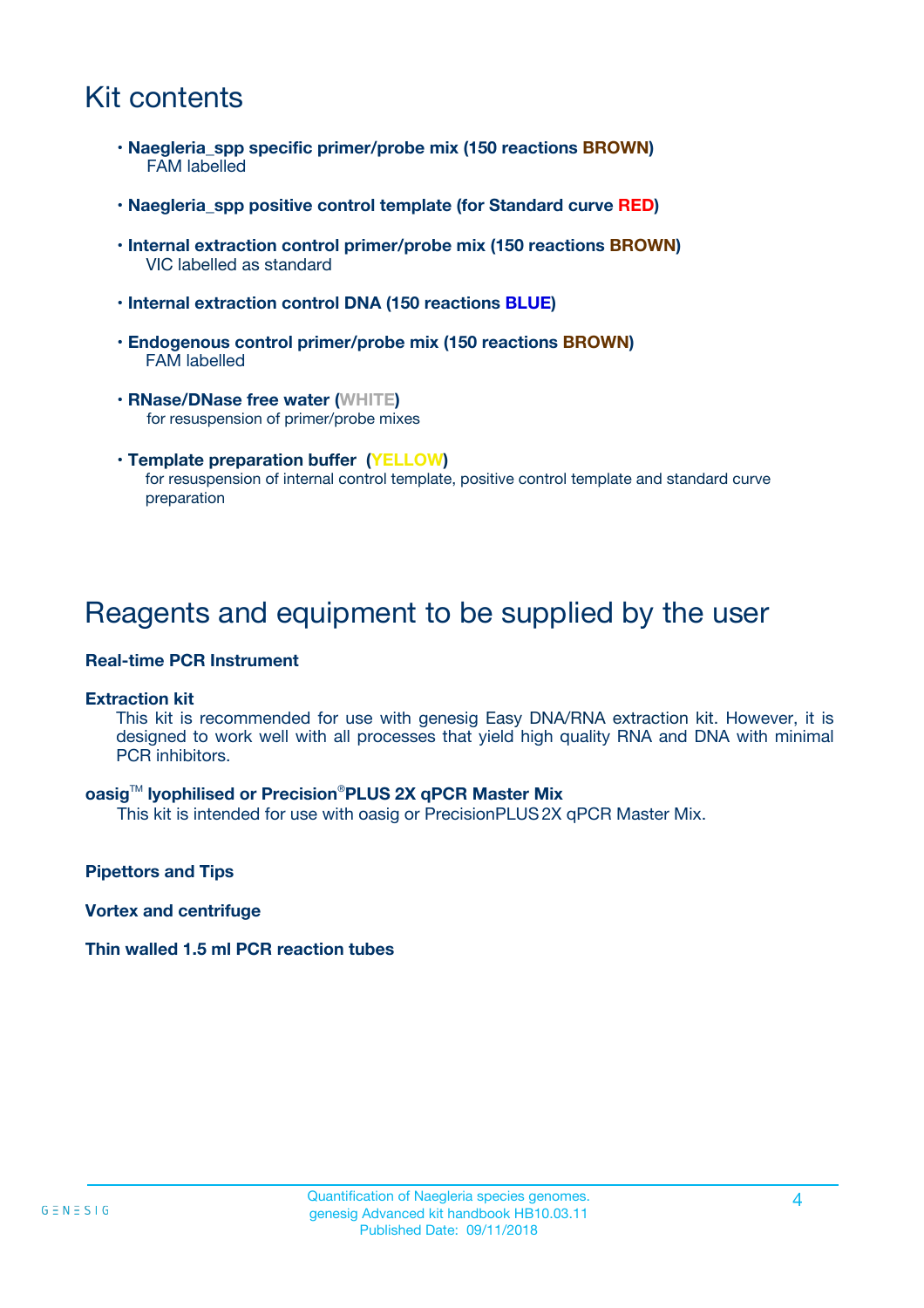## Kit contents

- **Naegleria\_spp specific primer/probe mix (150 reactions BROWN)** FAM labelled
- **Naegleria\_spp positive control template (for Standard curve RED)**
- **Internal extraction control primer/probe mix (150 reactions BROWN)** VIC labelled as standard
- **Internal extraction control DNA (150 reactions BLUE)**
- **Endogenous control primer/probe mix (150 reactions BROWN)** FAM labelled
- **RNase/DNase free water (WHITE)** for resuspension of primer/probe mixes
- **Template preparation buffer (YELLOW)** for resuspension of internal control template, positive control template and standard curve preparation

### Reagents and equipment to be supplied by the user

#### **Real-time PCR Instrument**

#### **Extraction kit**

This kit is recommended for use with genesig Easy DNA/RNA extraction kit. However, it is designed to work well with all processes that yield high quality RNA and DNA with minimal PCR inhibitors.

#### **oasig**TM **lyophilised or Precision**®**PLUS 2X qPCR Master Mix**

This kit is intended for use with oasig or PrecisionPLUS2X qPCR Master Mix.

**Pipettors and Tips**

**Vortex and centrifuge**

#### **Thin walled 1.5 ml PCR reaction tubes**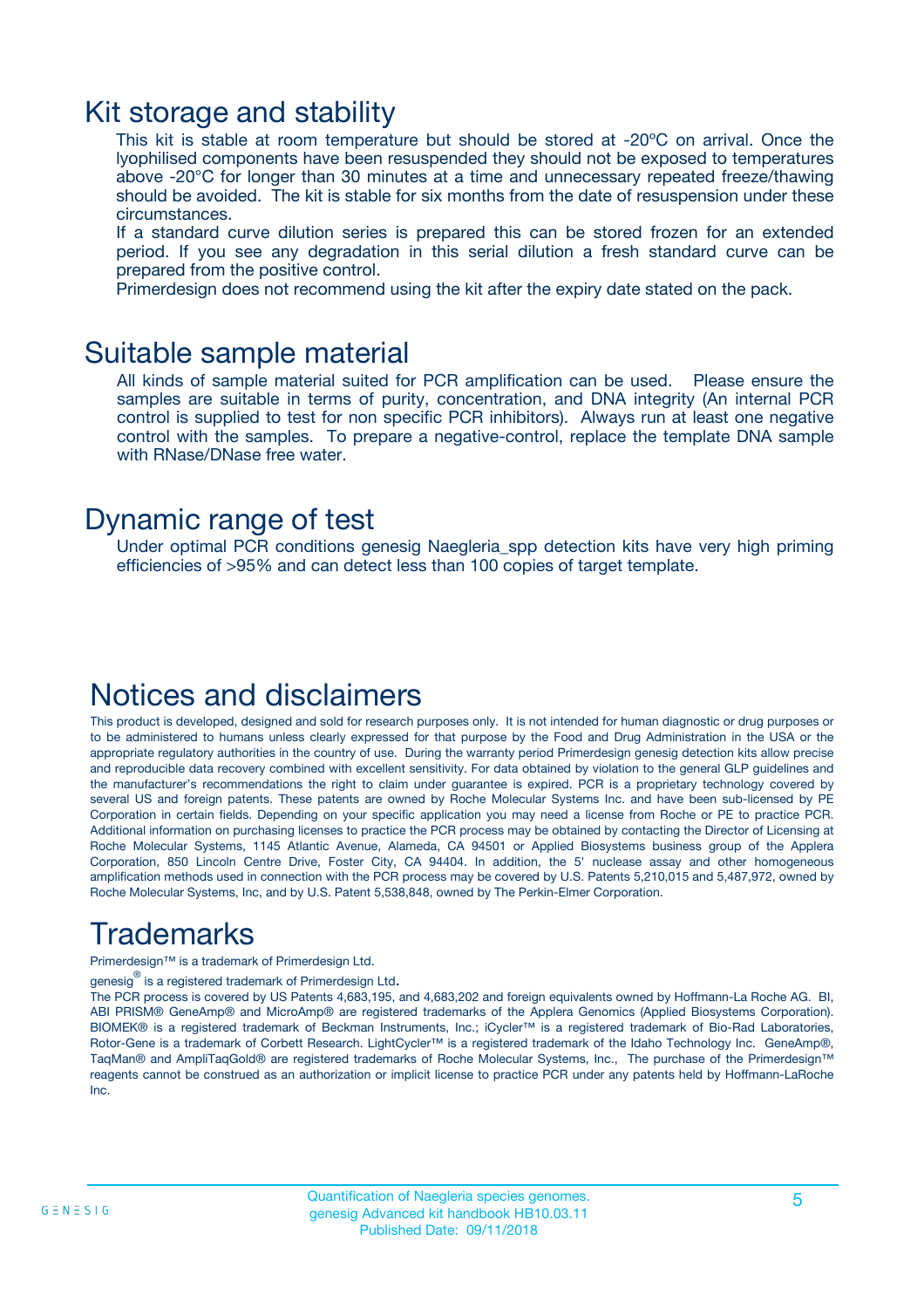### Kit storage and stability

This kit is stable at room temperature but should be stored at -20ºC on arrival. Once the lyophilised components have been resuspended they should not be exposed to temperatures above -20°C for longer than 30 minutes at a time and unnecessary repeated freeze/thawing should be avoided. The kit is stable for six months from the date of resuspension under these circumstances.

If a standard curve dilution series is prepared this can be stored frozen for an extended period. If you see any degradation in this serial dilution a fresh standard curve can be prepared from the positive control.

Primerdesign does not recommend using the kit after the expiry date stated on the pack.

### Suitable sample material

All kinds of sample material suited for PCR amplification can be used. Please ensure the samples are suitable in terms of purity, concentration, and DNA integrity (An internal PCR control is supplied to test for non specific PCR inhibitors). Always run at least one negative control with the samples. To prepare a negative-control, replace the template DNA sample with RNase/DNase free water.

### Dynamic range of test

Under optimal PCR conditions genesig Naegleria\_spp detection kits have very high priming efficiencies of >95% and can detect less than 100 copies of target template.

### Notices and disclaimers

This product is developed, designed and sold for research purposes only. It is not intended for human diagnostic or drug purposes or to be administered to humans unless clearly expressed for that purpose by the Food and Drug Administration in the USA or the appropriate regulatory authorities in the country of use. During the warranty period Primerdesign genesig detection kits allow precise and reproducible data recovery combined with excellent sensitivity. For data obtained by violation to the general GLP guidelines and the manufacturer's recommendations the right to claim under guarantee is expired. PCR is a proprietary technology covered by several US and foreign patents. These patents are owned by Roche Molecular Systems Inc. and have been sub-licensed by PE Corporation in certain fields. Depending on your specific application you may need a license from Roche or PE to practice PCR. Additional information on purchasing licenses to practice the PCR process may be obtained by contacting the Director of Licensing at Roche Molecular Systems, 1145 Atlantic Avenue, Alameda, CA 94501 or Applied Biosystems business group of the Applera Corporation, 850 Lincoln Centre Drive, Foster City, CA 94404. In addition, the 5' nuclease assay and other homogeneous amplification methods used in connection with the PCR process may be covered by U.S. Patents 5,210,015 and 5,487,972, owned by Roche Molecular Systems, Inc, and by U.S. Patent 5,538,848, owned by The Perkin-Elmer Corporation.

## Trademarks

Primerdesign™ is a trademark of Primerdesign Ltd.

genesig $^\circledR$  is a registered trademark of Primerdesign Ltd.

The PCR process is covered by US Patents 4,683,195, and 4,683,202 and foreign equivalents owned by Hoffmann-La Roche AG. BI, ABI PRISM® GeneAmp® and MicroAmp® are registered trademarks of the Applera Genomics (Applied Biosystems Corporation). BIOMEK® is a registered trademark of Beckman Instruments, Inc.; iCycler™ is a registered trademark of Bio-Rad Laboratories, Rotor-Gene is a trademark of Corbett Research. LightCycler™ is a registered trademark of the Idaho Technology Inc. GeneAmp®, TaqMan® and AmpliTaqGold® are registered trademarks of Roche Molecular Systems, Inc., The purchase of the Primerdesign™ reagents cannot be construed as an authorization or implicit license to practice PCR under any patents held by Hoffmann-LaRoche Inc.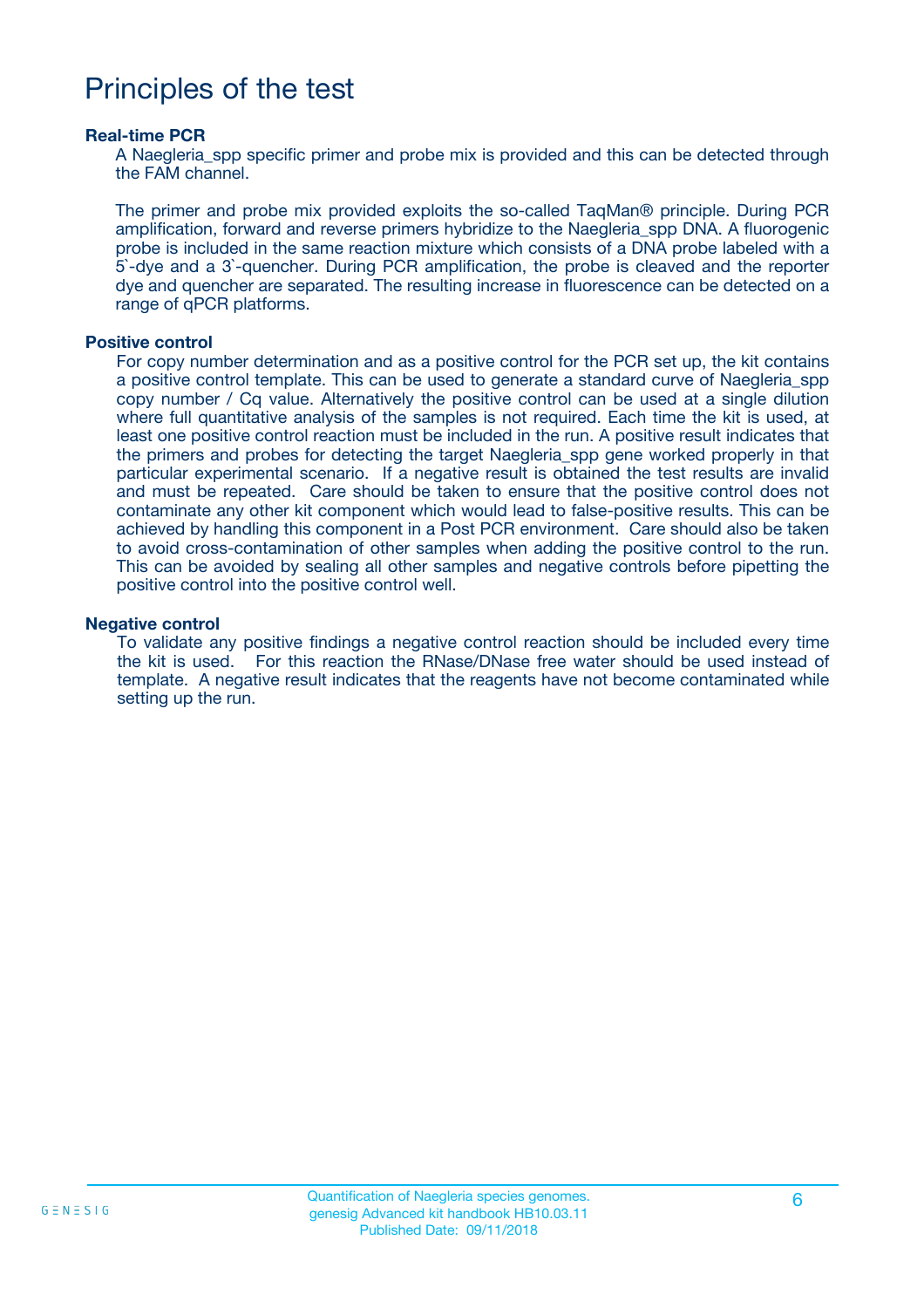### Principles of the test

#### **Real-time PCR**

A Naegleria spp specific primer and probe mix is provided and this can be detected through the FAM channel.

The primer and probe mix provided exploits the so-called TaqMan® principle. During PCR amplification, forward and reverse primers hybridize to the Naegleria\_spp DNA. A fluorogenic probe is included in the same reaction mixture which consists of a DNA probe labeled with a 5`-dye and a 3`-quencher. During PCR amplification, the probe is cleaved and the reporter dye and quencher are separated. The resulting increase in fluorescence can be detected on a range of qPCR platforms.

#### **Positive control**

For copy number determination and as a positive control for the PCR set up, the kit contains a positive control template. This can be used to generate a standard curve of Naegleria\_spp copy number / Cq value. Alternatively the positive control can be used at a single dilution where full quantitative analysis of the samples is not required. Each time the kit is used, at least one positive control reaction must be included in the run. A positive result indicates that the primers and probes for detecting the target Naegleria\_spp gene worked properly in that particular experimental scenario. If a negative result is obtained the test results are invalid and must be repeated. Care should be taken to ensure that the positive control does not contaminate any other kit component which would lead to false-positive results. This can be achieved by handling this component in a Post PCR environment. Care should also be taken to avoid cross-contamination of other samples when adding the positive control to the run. This can be avoided by sealing all other samples and negative controls before pipetting the positive control into the positive control well.

#### **Negative control**

To validate any positive findings a negative control reaction should be included every time the kit is used. For this reaction the RNase/DNase free water should be used instead of template. A negative result indicates that the reagents have not become contaminated while setting up the run.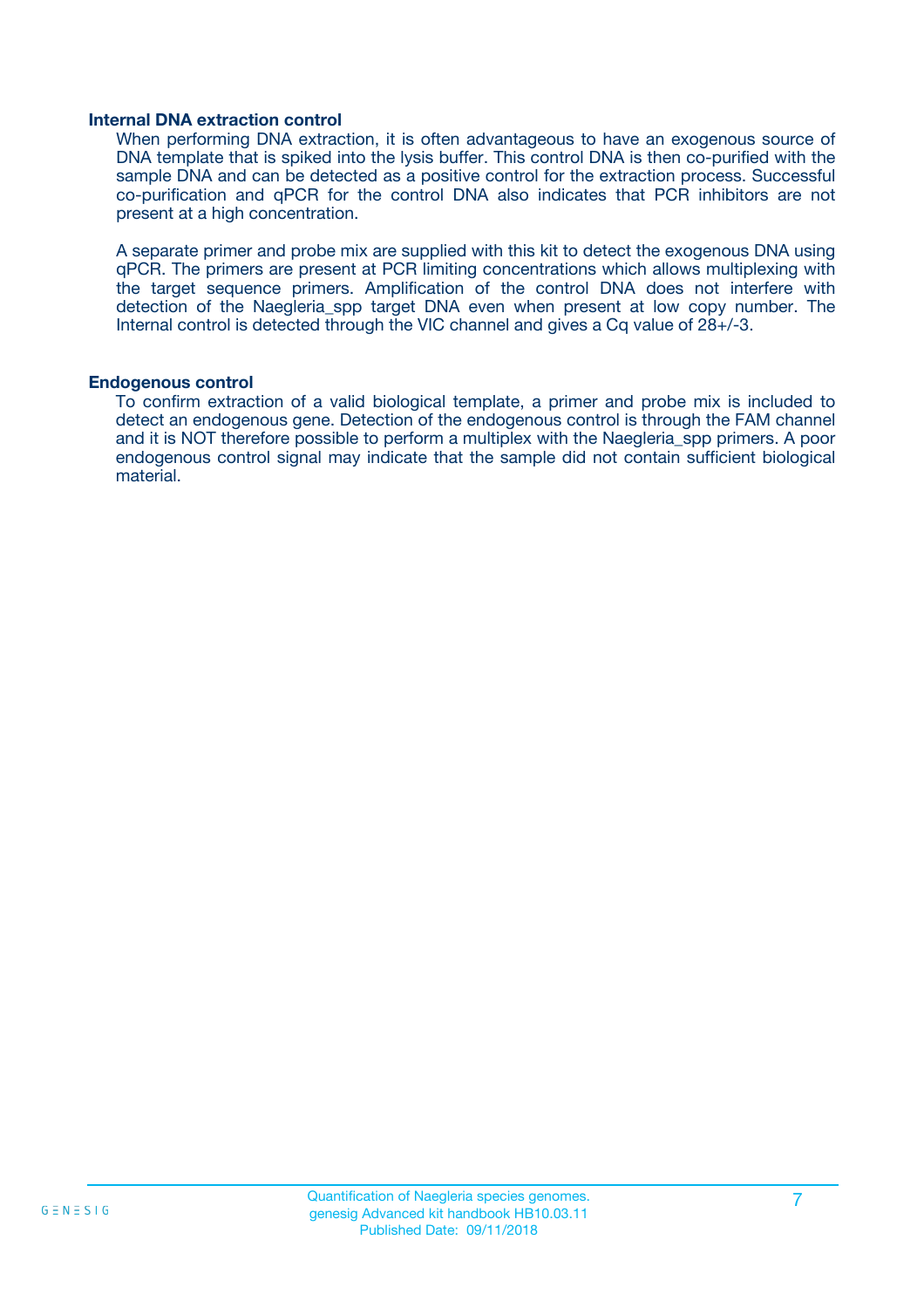#### **Internal DNA extraction control**

When performing DNA extraction, it is often advantageous to have an exogenous source of DNA template that is spiked into the lysis buffer. This control DNA is then co-purified with the sample DNA and can be detected as a positive control for the extraction process. Successful co-purification and qPCR for the control DNA also indicates that PCR inhibitors are not present at a high concentration.

A separate primer and probe mix are supplied with this kit to detect the exogenous DNA using qPCR. The primers are present at PCR limiting concentrations which allows multiplexing with the target sequence primers. Amplification of the control DNA does not interfere with detection of the Naegleria spp target DNA even when present at low copy number. The Internal control is detected through the VIC channel and gives a Cq value of 28+/-3.

#### **Endogenous control**

To confirm extraction of a valid biological template, a primer and probe mix is included to detect an endogenous gene. Detection of the endogenous control is through the FAM channel and it is NOT therefore possible to perform a multiplex with the Naegleria\_spp primers. A poor endogenous control signal may indicate that the sample did not contain sufficient biological material.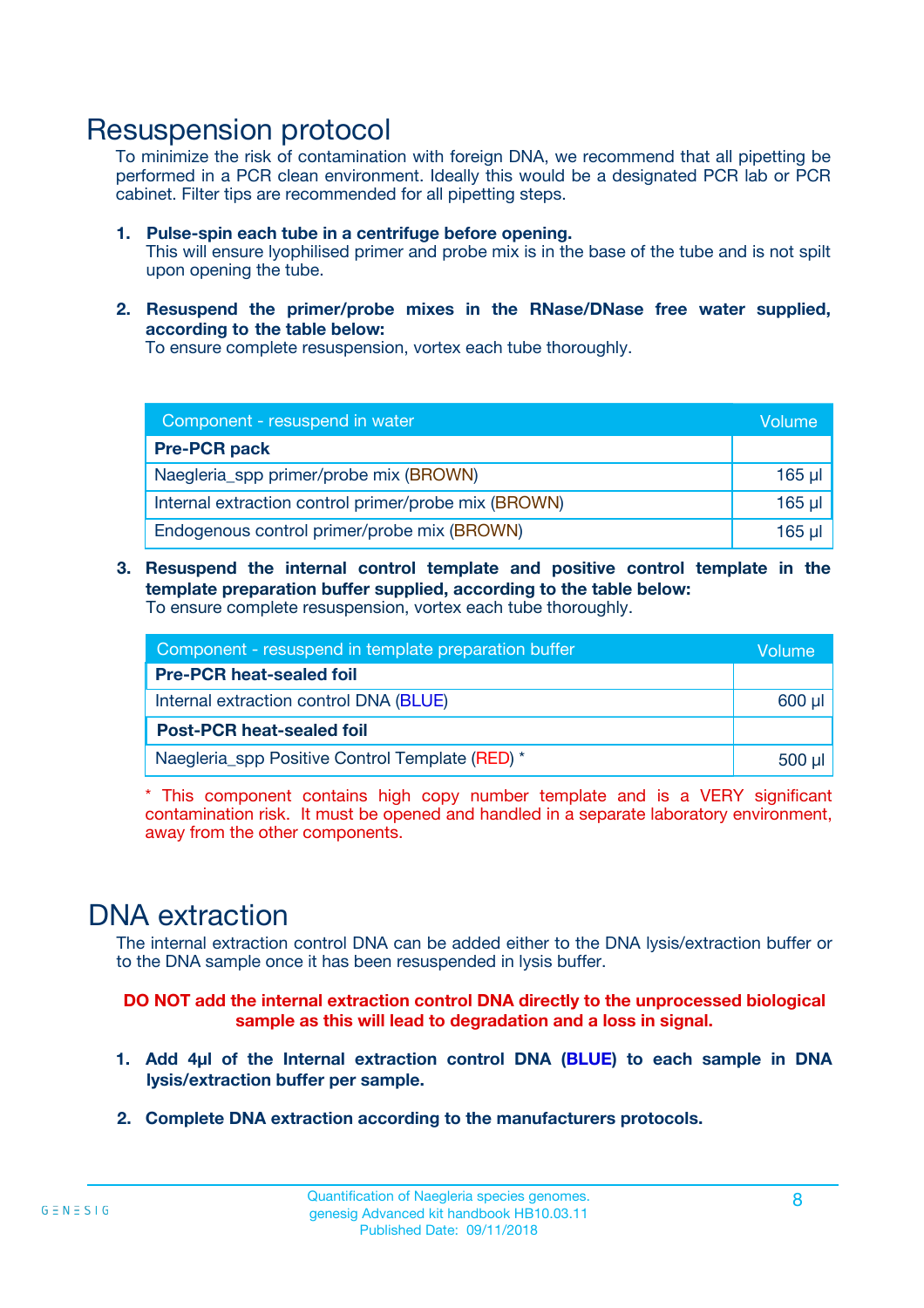### Resuspension protocol

To minimize the risk of contamination with foreign DNA, we recommend that all pipetting be performed in a PCR clean environment. Ideally this would be a designated PCR lab or PCR cabinet. Filter tips are recommended for all pipetting steps.

- **1. Pulse-spin each tube in a centrifuge before opening.** This will ensure lyophilised primer and probe mix is in the base of the tube and is not spilt upon opening the tube.
- **2. Resuspend the primer/probe mixes in the RNase/DNase free water supplied, according to the table below:**

To ensure complete resuspension, vortex each tube thoroughly.

| Component - resuspend in water                       |          |  |
|------------------------------------------------------|----------|--|
| <b>Pre-PCR pack</b>                                  |          |  |
| Naegleria_spp primer/probe mix (BROWN)               | $165$ µl |  |
| Internal extraction control primer/probe mix (BROWN) | $165$ µl |  |
| Endogenous control primer/probe mix (BROWN)          | $165$ µl |  |

**3. Resuspend the internal control template and positive control template in the template preparation buffer supplied, according to the table below:** To ensure complete resuspension, vortex each tube thoroughly.

| Component - resuspend in template preparation buffer |  |  |  |
|------------------------------------------------------|--|--|--|
| <b>Pre-PCR heat-sealed foil</b>                      |  |  |  |
| Internal extraction control DNA (BLUE)               |  |  |  |
| <b>Post-PCR heat-sealed foil</b>                     |  |  |  |
| Naegleria_spp Positive Control Template (RED) *      |  |  |  |

\* This component contains high copy number template and is a VERY significant contamination risk. It must be opened and handled in a separate laboratory environment, away from the other components.

### DNA extraction

The internal extraction control DNA can be added either to the DNA lysis/extraction buffer or to the DNA sample once it has been resuspended in lysis buffer.

**DO NOT add the internal extraction control DNA directly to the unprocessed biological sample as this will lead to degradation and a loss in signal.**

- **1. Add 4µl of the Internal extraction control DNA (BLUE) to each sample in DNA lysis/extraction buffer per sample.**
- **2. Complete DNA extraction according to the manufacturers protocols.**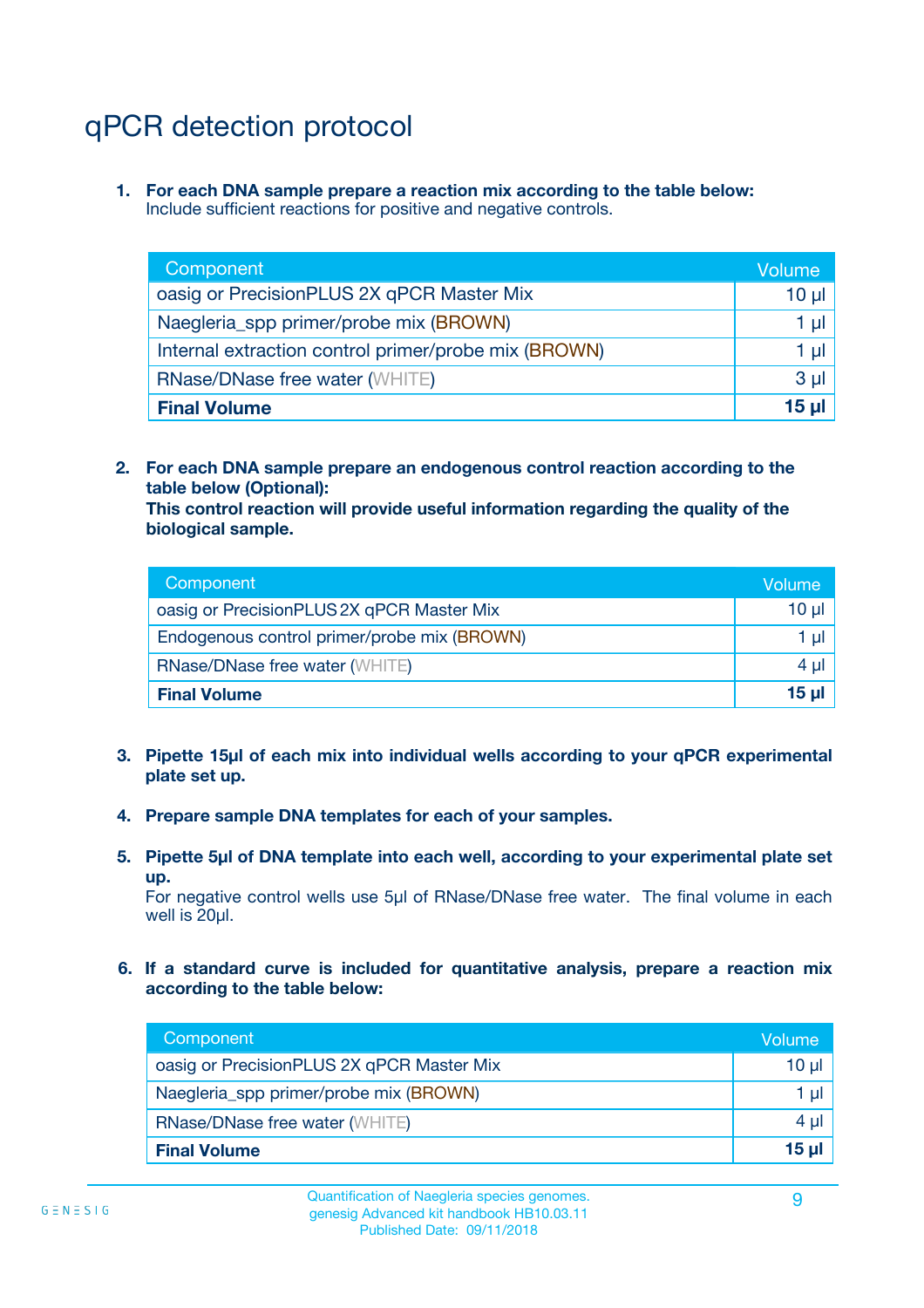## qPCR detection protocol

**1. For each DNA sample prepare a reaction mix according to the table below:** Include sufficient reactions for positive and negative controls.

| Component                                            | Volume   |
|------------------------------------------------------|----------|
| oasig or PrecisionPLUS 2X qPCR Master Mix            | 10 $\mu$ |
| Naegleria_spp primer/probe mix (BROWN)               | 1 µl     |
| Internal extraction control primer/probe mix (BROWN) | 1 µl     |
| <b>RNase/DNase free water (WHITE)</b>                | $3 \mu$  |
| <b>Final Volume</b>                                  | 15 µl    |

**2. For each DNA sample prepare an endogenous control reaction according to the table below (Optional):**

**This control reaction will provide useful information regarding the quality of the biological sample.**

| Component                                   | Volume   |
|---------------------------------------------|----------|
| oasig or PrecisionPLUS 2X qPCR Master Mix   | $10 \mu$ |
| Endogenous control primer/probe mix (BROWN) | 1 µI     |
| <b>RNase/DNase free water (WHITE)</b>       | $4 \mu$  |
| <b>Final Volume</b>                         | 15 µl    |

- **3. Pipette 15µl of each mix into individual wells according to your qPCR experimental plate set up.**
- **4. Prepare sample DNA templates for each of your samples.**
- **5. Pipette 5µl of DNA template into each well, according to your experimental plate set up.**

For negative control wells use 5µl of RNase/DNase free water. The final volume in each well is 20ul.

**6. If a standard curve is included for quantitative analysis, prepare a reaction mix according to the table below:**

| Component                                 | Volume          |
|-------------------------------------------|-----------------|
| oasig or PrecisionPLUS 2X qPCR Master Mix | 10 $\mu$        |
| Naegleria_spp primer/probe mix (BROWN)    | 1 µI            |
| <b>RNase/DNase free water (WHITE)</b>     | $4 \mu$         |
| <b>Final Volume</b>                       | 15 <sub>µ</sub> |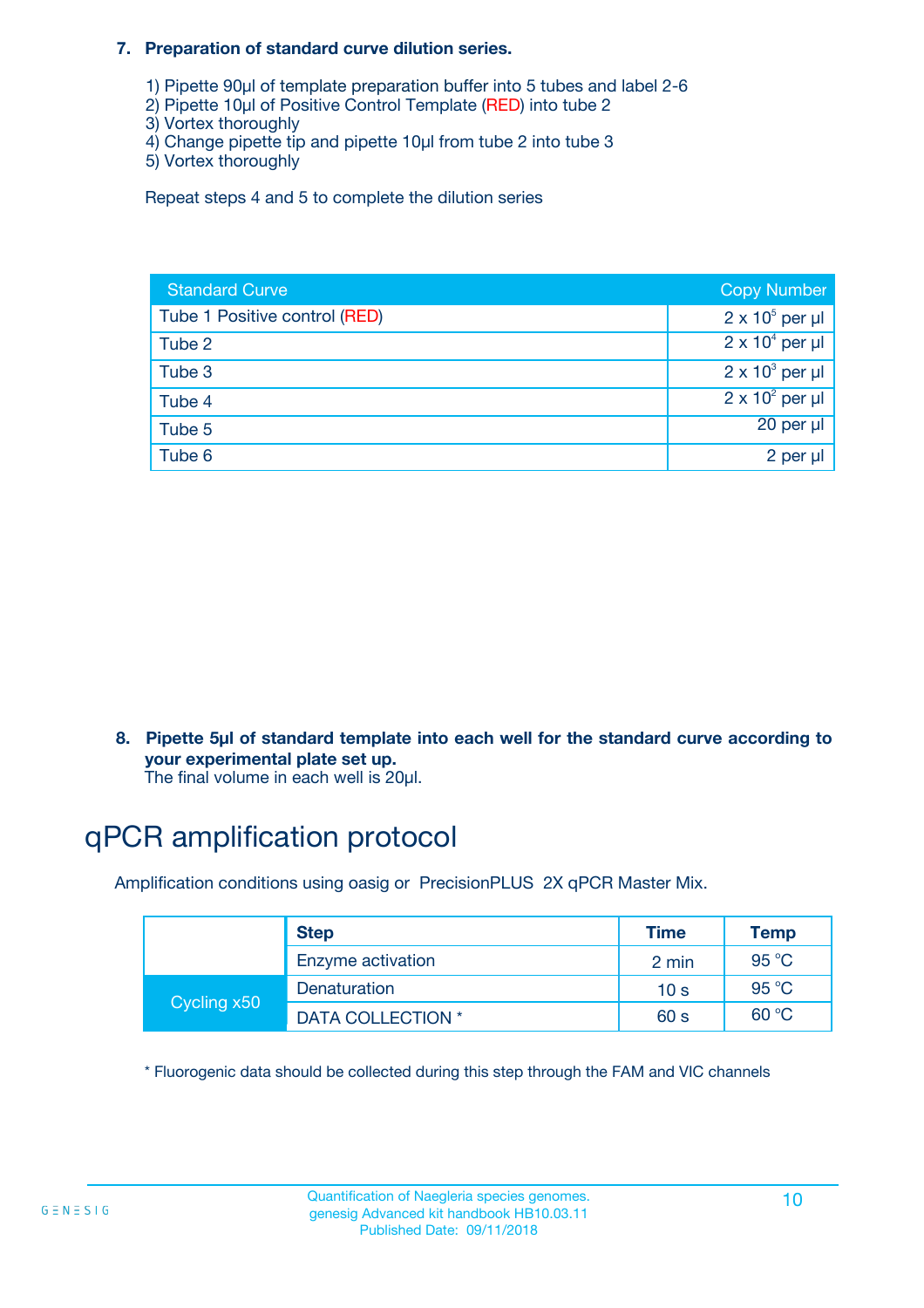#### **7. Preparation of standard curve dilution series.**

- 1) Pipette 90µl of template preparation buffer into 5 tubes and label 2-6
- 2) Pipette 10µl of Positive Control Template (RED) into tube 2
- 3) Vortex thoroughly
- 4) Change pipette tip and pipette 10µl from tube 2 into tube 3
- 5) Vortex thoroughly

Repeat steps 4 and 5 to complete the dilution series

| <b>Standard Curve</b>         | <b>Copy Number</b>     |
|-------------------------------|------------------------|
| Tube 1 Positive control (RED) | $2 \times 10^5$ per µl |
| Tube 2                        | $2 \times 10^4$ per µl |
| Tube 3                        | $2 \times 10^3$ per µl |
| Tube 4                        | $2 \times 10^2$ per µl |
| Tube 5                        | 20 per µl              |
| Tube 6                        | 2 per µl               |

**8. Pipette 5µl of standard template into each well for the standard curve according to your experimental plate set up.**

#### The final volume in each well is 20µl.

## qPCR amplification protocol

Amplification conditions using oasig or PrecisionPLUS 2X qPCR Master Mix.

|             | <b>Step</b>       | <b>Time</b>     | Temp    |
|-------------|-------------------|-----------------|---------|
|             | Enzyme activation | 2 min           | 95 °C   |
| Cycling x50 | Denaturation      | 10 <sub>s</sub> | 95 $°C$ |
|             | DATA COLLECTION * | 60 s            | 60 °C   |

\* Fluorogenic data should be collected during this step through the FAM and VIC channels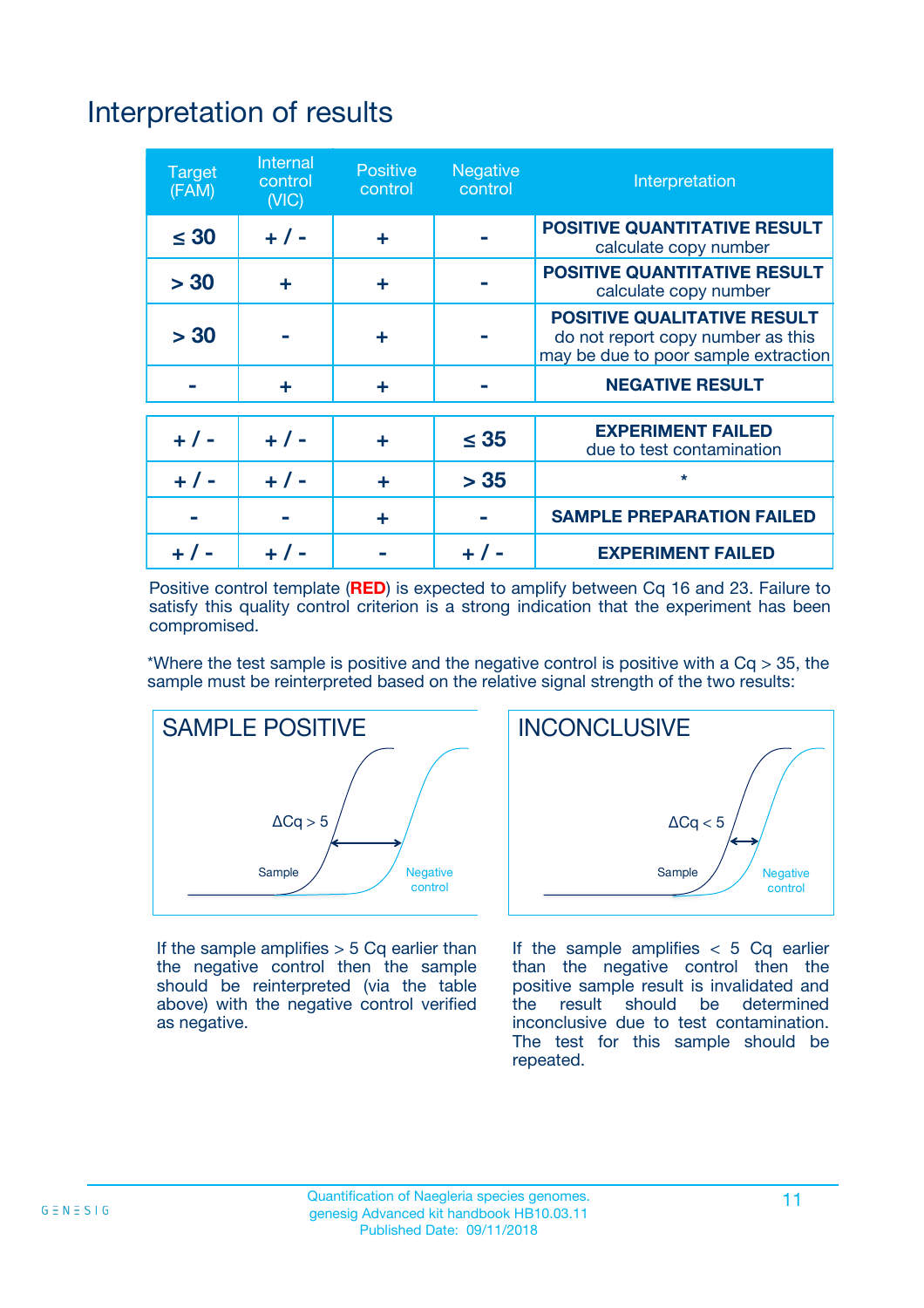## Interpretation of results

| <b>Target</b><br>(FAM) | <b>Internal</b><br>control<br>(NIC) | <b>Positive</b><br>control | <b>Negative</b><br>control | Interpretation                                                                                                  |
|------------------------|-------------------------------------|----------------------------|----------------------------|-----------------------------------------------------------------------------------------------------------------|
| $\leq 30$              | $+ 1 -$                             | ÷                          |                            | <b>POSITIVE QUANTITATIVE RESULT</b><br>calculate copy number                                                    |
| > 30                   | ٠                                   | ÷                          |                            | <b>POSITIVE QUANTITATIVE RESULT</b><br>calculate copy number                                                    |
| > 30                   |                                     | ÷                          |                            | <b>POSITIVE QUALITATIVE RESULT</b><br>do not report copy number as this<br>may be due to poor sample extraction |
|                        | ÷                                   | ÷                          |                            | <b>NEGATIVE RESULT</b>                                                                                          |
| $+ 1 -$                | $+ 1 -$                             | ÷                          | $\leq$ 35                  | <b>EXPERIMENT FAILED</b><br>due to test contamination                                                           |
| $+$ / -                | $+ 1 -$                             | ÷                          | > 35                       | $\star$                                                                                                         |
|                        |                                     | ÷                          |                            | <b>SAMPLE PREPARATION FAILED</b>                                                                                |
|                        |                                     |                            | $+$ /                      | <b>EXPERIMENT FAILED</b>                                                                                        |

Positive control template (**RED**) is expected to amplify between Cq 16 and 23. Failure to satisfy this quality control criterion is a strong indication that the experiment has been compromised.

\*Where the test sample is positive and the negative control is positive with a  $Ca > 35$ , the sample must be reinterpreted based on the relative signal strength of the two results:



If the sample amplifies  $> 5$  Cq earlier than the negative control then the sample should be reinterpreted (via the table above) with the negative control verified as negative.



If the sample amplifies  $< 5$  Cq earlier than the negative control then the positive sample result is invalidated and<br>the result should be determined  $the$  result should be inconclusive due to test contamination. The test for this sample should be repeated.